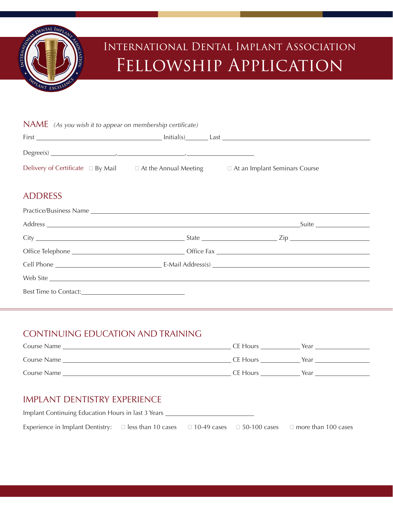

# International Dental Implant Association Fellowship Application

| NAME (As you wish it to appear on membership certificate) |                              |                                      |  |
|-----------------------------------------------------------|------------------------------|--------------------------------------|--|
|                                                           |                              | $Initial(s)$ Last                    |  |
|                                                           |                              |                                      |  |
| Delivery of Certificate $\Box$ By Mail                    | $\Box$ At the Annual Meeting | $\Box$ At an Implant Seminars Course |  |

#### ADDRESS

| Web Site |  |
|----------|--|
|          |  |

## CONTINUING EDUCATION AND TRAINING

| Course Name | CE Hours | Year |
|-------------|----------|------|
| Course Name | CE Hours | Year |
| Course Name | CE Hours | Year |

### IMPLANT DENTISTRY EXPERIENCE

| Implant Continuing Education Hours in last 3 Years                                                |  |  |  |                            |
|---------------------------------------------------------------------------------------------------|--|--|--|----------------------------|
| Experience in Implant Dentistry: $\Box$ less than 10 cases $\Box$ 10-49 cases $\Box$ 50-100 cases |  |  |  | $\Box$ more than 100 cases |